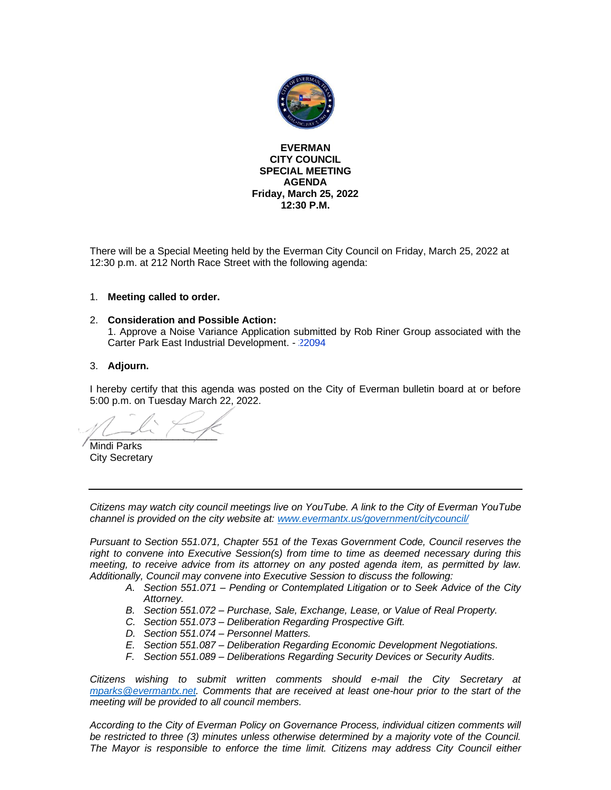

**EVERMAN CITY COUNCIL SPECIAL MEETING AGENDA Friday, March 25, 2022 12:30 P.M.**

There will be a Special Meeting held by the Everman City Council on Friday, March 25, 2022 at 12:30 p.m. at 212 North Race Street with the following agenda:

### 1. **Meeting called to order.**

 $\sim$ 

### 2. **Consideration and Possible Action:**

1. Approve a Noise Variance Application submitted by Rob Riner Group associated with the Carter Park East Industrial Development. - [22094](#page-2-0)

### 3. **Adjourn.**

I hereby certify that this agenda was posted on the City of Everman bulletin board at or before 5:00 p.m. on Tuesday March 22, 2022.

Mindi Parks City Secretary

*Citizens may watch city council meetings live on YouTube. A link to the City of Everman YouTube channel is provided on the city website at: [www.evermantx.us/government/citycouncil/](http://www.evermantx.us/government/citycouncil/)*

*Pursuant to Section 551.071, Chapter 551 of the Texas Government Code, Council reserves the right to convene into Executive Session(s) from time to time as deemed necessary during this meeting, to receive advice from its attorney on any posted agenda item, as permitted by law. Additionally, Council may convene into Executive Session to discuss the following:*

- *A. Section 551.071 – Pending or Contemplated Litigation or to Seek Advice of the City Attorney.*
- *B. Section 551.072 – Purchase, Sale, Exchange, Lease, or Value of Real Property.*
- *C. Section 551.073 – Deliberation Regarding Prospective Gift.*
- *D. Section 551.074 – Personnel Matters.*
- *E. Section 551.087 – Deliberation Regarding Economic Development Negotiations.*
- *F. Section 551.089 – Deliberations Regarding Security Devices or Security Audits.*

*Citizens wishing to submit written comments should e-mail the City Secretary at [mparks@evermantx.net.](mailto:mparks@evermantx.net) Comments that are received at least one-hour prior to the start of the meeting will be provided to all council members.* 

*According to the City of Everman Policy on Governance Process, individual citizen comments will be restricted to three (3) minutes unless otherwise determined by a majority vote of the Council. The Mayor is responsible to enforce the time limit. Citizens may address City Council either*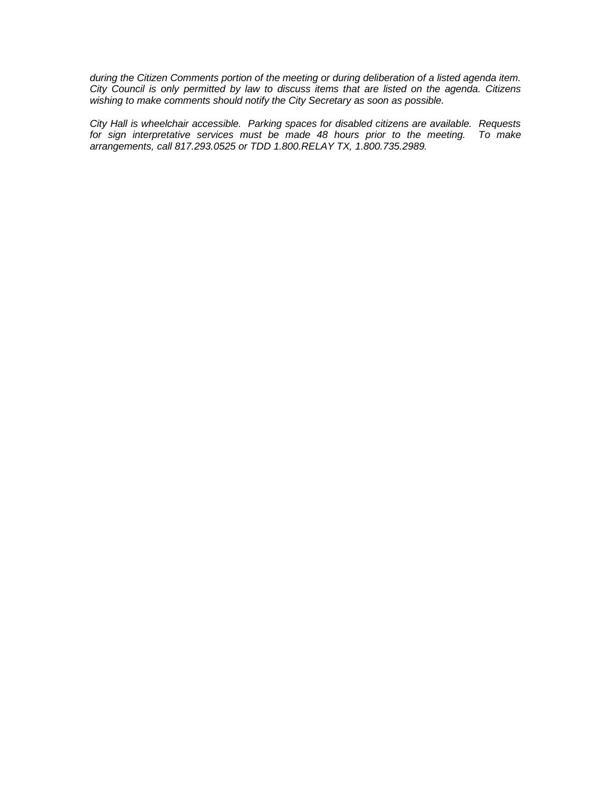*during the Citizen Comments portion of the meeting or during deliberation of a listed agenda item. City Council is only permitted by law to discuss items that are listed on the agenda. Citizens wishing to make comments should notify the City Secretary as soon as possible.* 

*City Hall is wheelchair accessible. Parking spaces for disabled citizens are available. Requests*  for sign interpretative services must be made 48 hours prior to the meeting. *arrangements, call 817.293.0525 or TDD 1.800.RELAY TX, 1.800.735.2989.*